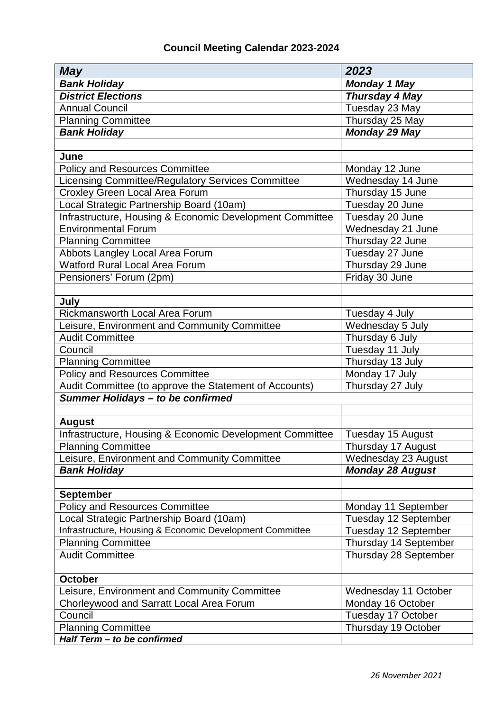| <b>May</b>                                               | 2023                    |
|----------------------------------------------------------|-------------------------|
| <b>Bank Holiday</b>                                      | <b>Monday 1 May</b>     |
| <b>District Elections</b>                                | <b>Thursday 4 May</b>   |
| <b>Annual Council</b>                                    | Tuesday 23 May          |
| <b>Planning Committee</b>                                | Thursday 25 May         |
| <b>Bank Holiday</b>                                      | <b>Monday 29 May</b>    |
|                                                          |                         |
| June                                                     |                         |
| <b>Policy and Resources Committee</b>                    | Monday 12 June          |
| Licensing Committee/Regulatory Services Committee        | Wednesday 14 June       |
| Croxley Green Local Area Forum                           | Thursday 15 June        |
| Local Strategic Partnership Board (10am)                 | Tuesday 20 June         |
| Infrastructure, Housing & Economic Development Committee | Tuesday 20 June         |
| <b>Environmental Forum</b>                               | Wednesday 21 June       |
| <b>Planning Committee</b>                                | Thursday 22 June        |
| Abbots Langley Local Area Forum                          | Tuesday 27 June         |
| Watford Rural Local Area Forum                           | Thursday 29 June        |
| Pensioners' Forum (2pm)                                  | Friday 30 June          |
|                                                          |                         |
| July                                                     |                         |
| <b>Rickmansworth Local Area Forum</b>                    | Tuesday 4 July          |
| Leisure, Environment and Community Committee             | Wednesday 5 July        |
| <b>Audit Committee</b>                                   | Thursday 6 July         |
| Council                                                  | Tuesday 11 July         |
| <b>Planning Committee</b>                                | Thursday 13 July        |
| <b>Policy and Resources Committee</b>                    | Monday 17 July          |
| Audit Committee (to approve the Statement of Accounts)   | Thursday 27 July        |
| Summer Holidays - to be confirmed                        |                         |
|                                                          |                         |
| <b>August</b>                                            |                         |
| Infrastructure, Housing & Economic Development Committee | Tuesday 15 August       |
| <b>Planning Committee</b>                                | Thursday 17 August      |
| Leisure, Environment and Community Committee             | Wednesday 23 August     |
| <b>Bank Holiday</b>                                      | <b>Monday 28 August</b> |
|                                                          |                         |
| <b>September</b>                                         |                         |
| <b>Policy and Resources Committee</b>                    | Monday 11 September     |
| Local Strategic Partnership Board (10am)                 | Tuesday 12 September    |
| Infrastructure, Housing & Economic Development Committee | Tuesday 12 September    |
| <b>Planning Committee</b>                                | Thursday 14 September   |
| <b>Audit Committee</b>                                   | Thursday 28 September   |
|                                                          |                         |
| <b>October</b>                                           |                         |
| Leisure, Environment and Community Committee             | Wednesday 11 October    |
| Chorleywood and Sarratt Local Area Forum                 | Monday 16 October       |
| Council                                                  | Tuesday 17 October      |
| <b>Planning Committee</b>                                | Thursday 19 October     |
| Half Term - to be confirmed                              |                         |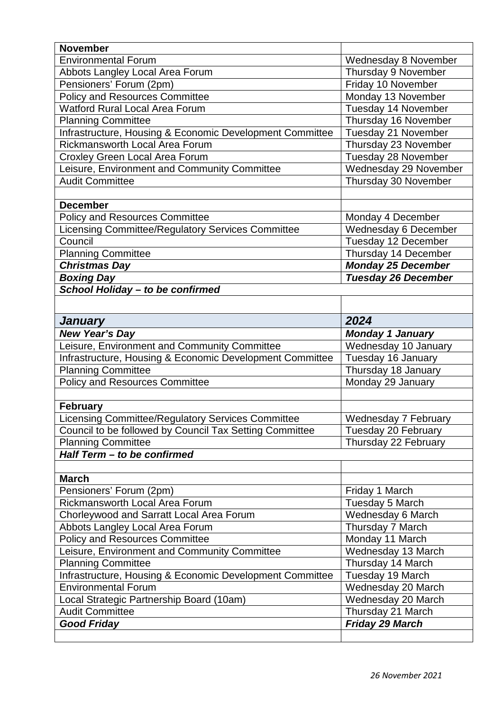| <b>November</b>                                          |                            |
|----------------------------------------------------------|----------------------------|
| <b>Environmental Forum</b>                               | Wednesday 8 November       |
| Abbots Langley Local Area Forum                          | Thursday 9 November        |
| Pensioners' Forum (2pm)                                  | Friday 10 November         |
| <b>Policy and Resources Committee</b>                    | Monday 13 November         |
| <b>Watford Rural Local Area Forum</b>                    | Tuesday 14 November        |
| <b>Planning Committee</b>                                | Thursday 16 November       |
| Infrastructure, Housing & Economic Development Committee | Tuesday 21 November        |
| Rickmansworth Local Area Forum                           | Thursday 23 November       |
| Croxley Green Local Area Forum                           | Tuesday 28 November        |
| Leisure, Environment and Community Committee             | Wednesday 29 November      |
| <b>Audit Committee</b>                                   | Thursday 30 November       |
|                                                          |                            |
| <b>December</b>                                          |                            |
| <b>Policy and Resources Committee</b>                    | Monday 4 December          |
| Licensing Committee/Regulatory Services Committee        | Wednesday 6 December       |
| Council                                                  | Tuesday 12 December        |
| <b>Planning Committee</b>                                | Thursday 14 December       |
| <b>Christmas Day</b>                                     | <b>Monday 25 December</b>  |
| <b>Boxing Day</b>                                        | <b>Tuesday 26 December</b> |
| School Holiday - to be confirmed                         |                            |
|                                                          |                            |
|                                                          |                            |
| <b>January</b>                                           | 2024                       |
| <b>New Year's Day</b>                                    | <b>Monday 1 January</b>    |
| Leisure, Environment and Community Committee             | Wednesday 10 January       |
| Infrastructure, Housing & Economic Development Committee | Tuesday 16 January         |
| <b>Planning Committee</b>                                | Thursday 18 January        |
| <b>Policy and Resources Committee</b>                    | Monday 29 January          |
|                                                          |                            |
| <b>February</b>                                          |                            |
| Licensing Committee/Regulatory Services Committee        | Wednesday 7 February       |
| Council to be followed by Council Tax Setting Committee  | Tuesday 20 February        |
| <b>Planning Committee</b>                                | Thursday 22 February       |
| Half Term - to be confirmed                              |                            |
|                                                          |                            |
| <b>March</b>                                             |                            |
| Pensioners' Forum (2pm)                                  | Friday 1 March             |
| <b>Rickmansworth Local Area Forum</b>                    | Tuesday 5 March            |
| Chorleywood and Sarratt Local Area Forum                 | Wednesday 6 March          |
| Abbots Langley Local Area Forum                          | Thursday 7 March           |
| <b>Policy and Resources Committee</b>                    |                            |
|                                                          | Monday 11 March            |
| Leisure, Environment and Community Committee             | Wednesday 13 March         |
| <b>Planning Committee</b>                                | Thursday 14 March          |
| Infrastructure, Housing & Economic Development Committee | Tuesday 19 March           |
| <b>Environmental Forum</b>                               | Wednesday 20 March         |
| Local Strategic Partnership Board (10am)                 | Wednesday 20 March         |
| <b>Audit Committee</b>                                   | Thursday 21 March          |
| <b>Good Friday</b>                                       | <b>Friday 29 March</b>     |